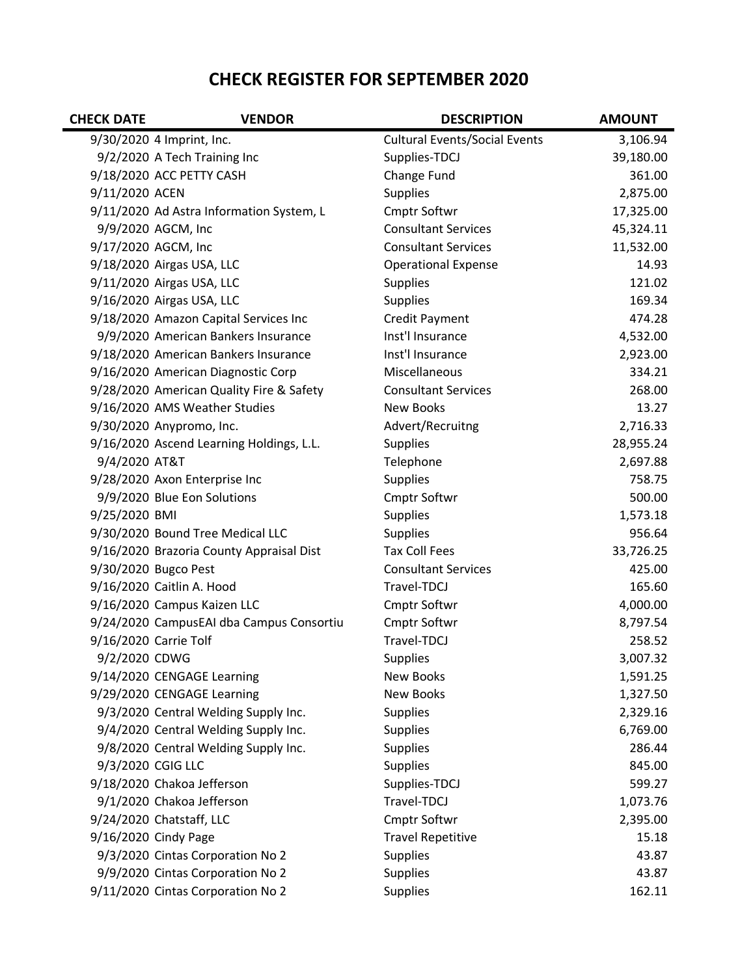## CHECK REGISTER FOR SEPTEMBER 2020

| <b>CHECK DATE</b> | <b>VENDOR</b>                            | <b>DESCRIPTION</b>                   | <b>AMOUNT</b> |
|-------------------|------------------------------------------|--------------------------------------|---------------|
|                   | 9/30/2020 4 Imprint, Inc.                | <b>Cultural Events/Social Events</b> | 3,106.94      |
|                   | 9/2/2020 A Tech Training Inc             | Supplies-TDCJ                        | 39,180.00     |
|                   | 9/18/2020 ACC PETTY CASH                 | Change Fund                          | 361.00        |
| 9/11/2020 ACEN    |                                          | <b>Supplies</b>                      | 2,875.00      |
|                   | 9/11/2020 Ad Astra Information System, L | Cmptr Softwr                         | 17,325.00     |
|                   | 9/9/2020 AGCM, Inc                       | <b>Consultant Services</b>           | 45,324.11     |
|                   | 9/17/2020 AGCM, Inc                      | <b>Consultant Services</b>           | 11,532.00     |
|                   | 9/18/2020 Airgas USA, LLC                | <b>Operational Expense</b>           | 14.93         |
|                   | 9/11/2020 Airgas USA, LLC                | <b>Supplies</b>                      | 121.02        |
|                   | 9/16/2020 Airgas USA, LLC                | <b>Supplies</b>                      | 169.34        |
|                   | 9/18/2020 Amazon Capital Services Inc    | <b>Credit Payment</b>                | 474.28        |
|                   | 9/9/2020 American Bankers Insurance      | Inst'l Insurance                     | 4,532.00      |
|                   | 9/18/2020 American Bankers Insurance     | Inst'l Insurance                     | 2,923.00      |
|                   | 9/16/2020 American Diagnostic Corp       | Miscellaneous                        | 334.21        |
|                   | 9/28/2020 American Quality Fire & Safety | <b>Consultant Services</b>           | 268.00        |
|                   | 9/16/2020 AMS Weather Studies            | <b>New Books</b>                     | 13.27         |
|                   | 9/30/2020 Anypromo, Inc.                 | Advert/Recruitng                     | 2,716.33      |
|                   | 9/16/2020 Ascend Learning Holdings, L.L. | <b>Supplies</b>                      | 28,955.24     |
| 9/4/2020 AT&T     |                                          | Telephone                            | 2,697.88      |
|                   | 9/28/2020 Axon Enterprise Inc            | <b>Supplies</b>                      | 758.75        |
|                   | 9/9/2020 Blue Eon Solutions              | Cmptr Softwr                         | 500.00        |
| 9/25/2020 BMI     |                                          | <b>Supplies</b>                      | 1,573.18      |
|                   | 9/30/2020 Bound Tree Medical LLC         | <b>Supplies</b>                      | 956.64        |
|                   | 9/16/2020 Brazoria County Appraisal Dist | <b>Tax Coll Fees</b>                 | 33,726.25     |
|                   | 9/30/2020 Bugco Pest                     | <b>Consultant Services</b>           | 425.00        |
|                   | 9/16/2020 Caitlin A. Hood                | Travel-TDCJ                          | 165.60        |
|                   | 9/16/2020 Campus Kaizen LLC              | Cmptr Softwr                         | 4,000.00      |
|                   | 9/24/2020 CampusEAI dba Campus Consortiu | Cmptr Softwr                         | 8,797.54      |
|                   | 9/16/2020 Carrie Tolf                    | Travel-TDCJ                          | 258.52        |
| 9/2/2020 CDWG     |                                          | <b>Supplies</b>                      | 3,007.32      |
|                   | 9/14/2020 CENGAGE Learning               | New Books                            | 1,591.25      |
|                   | 9/29/2020 CENGAGE Learning               | New Books                            | 1,327.50      |
|                   | 9/3/2020 Central Welding Supply Inc.     | <b>Supplies</b>                      | 2,329.16      |
|                   | 9/4/2020 Central Welding Supply Inc.     | <b>Supplies</b>                      | 6,769.00      |
|                   | 9/8/2020 Central Welding Supply Inc.     | <b>Supplies</b>                      | 286.44        |
|                   | 9/3/2020 CGIG LLC                        | <b>Supplies</b>                      | 845.00        |
|                   | 9/18/2020 Chakoa Jefferson               | Supplies-TDCJ                        | 599.27        |
|                   | 9/1/2020 Chakoa Jefferson                | Travel-TDCJ                          | 1,073.76      |
|                   | 9/24/2020 Chatstaff, LLC                 | <b>Cmptr Softwr</b>                  | 2,395.00      |
|                   | 9/16/2020 Cindy Page                     | <b>Travel Repetitive</b>             | 15.18         |
|                   | 9/3/2020 Cintas Corporation No 2         | <b>Supplies</b>                      | 43.87         |
|                   | 9/9/2020 Cintas Corporation No 2         | <b>Supplies</b>                      | 43.87         |
|                   | 9/11/2020 Cintas Corporation No 2        | <b>Supplies</b>                      | 162.11        |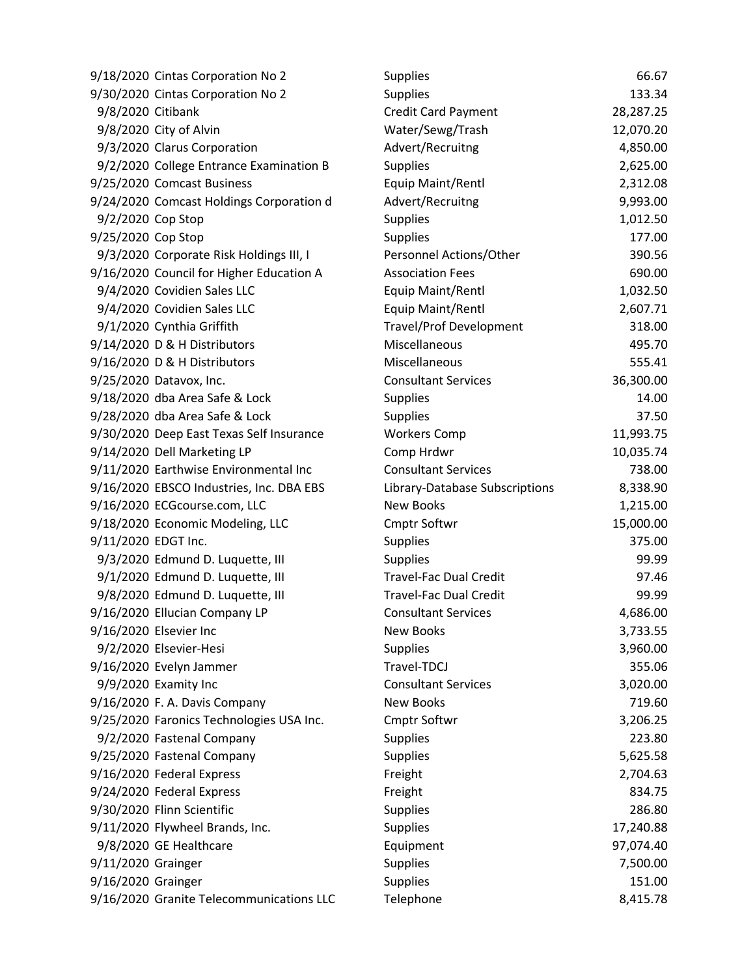|                     | 9/18/2020 Cintas Corporation No 2        | <b>Supplies</b>                | 66.67     |
|---------------------|------------------------------------------|--------------------------------|-----------|
|                     | 9/30/2020 Cintas Corporation No 2        | <b>Supplies</b>                | 133.34    |
| 9/8/2020 Citibank   |                                          | Credit Card Payment            | 28,287.25 |
|                     | 9/8/2020 City of Alvin                   | Water/Sewg/Trash               | 12,070.20 |
|                     | 9/3/2020 Clarus Corporation              | Advert/Recruitng               | 4,850.00  |
|                     | 9/2/2020 College Entrance Examination B  | <b>Supplies</b>                | 2,625.00  |
|                     | 9/25/2020 Comcast Business               | Equip Maint/Rentl              | 2,312.08  |
|                     | 9/24/2020 Comcast Holdings Corporation d | Advert/Recruitng               | 9,993.00  |
| 9/2/2020 Cop Stop   |                                          | <b>Supplies</b>                | 1,012.50  |
| 9/25/2020 Cop Stop  |                                          | <b>Supplies</b>                | 177.00    |
|                     | 9/3/2020 Corporate Risk Holdings III, I  | Personnel Actions/Other        | 390.56    |
|                     | 9/16/2020 Council for Higher Education A | <b>Association Fees</b>        | 690.00    |
|                     | 9/4/2020 Covidien Sales LLC              | Equip Maint/Rentl              | 1,032.50  |
|                     | 9/4/2020 Covidien Sales LLC              | Equip Maint/Rentl              | 2,607.71  |
|                     | 9/1/2020 Cynthia Griffith                | <b>Travel/Prof Development</b> | 318.00    |
|                     | 9/14/2020 D & H Distributors             | Miscellaneous                  | 495.70    |
|                     | 9/16/2020 D & H Distributors             | Miscellaneous                  | 555.41    |
|                     | 9/25/2020 Datavox, Inc.                  | <b>Consultant Services</b>     | 36,300.00 |
|                     | 9/18/2020 dba Area Safe & Lock           | <b>Supplies</b>                | 14.00     |
|                     | 9/28/2020 dba Area Safe & Lock           | <b>Supplies</b>                | 37.50     |
|                     | 9/30/2020 Deep East Texas Self Insurance | <b>Workers Comp</b>            | 11,993.75 |
|                     | 9/14/2020 Dell Marketing LP              | Comp Hrdwr                     | 10,035.74 |
|                     | 9/11/2020 Earthwise Environmental Inc    | <b>Consultant Services</b>     | 738.00    |
|                     | 9/16/2020 EBSCO Industries, Inc. DBA EBS | Library-Database Subscriptions | 8,338.90  |
|                     | 9/16/2020 ECGcourse.com, LLC             | <b>New Books</b>               | 1,215.00  |
|                     | 9/18/2020 Economic Modeling, LLC         | Cmptr Softwr                   | 15,000.00 |
| 9/11/2020 EDGT Inc. |                                          | <b>Supplies</b>                | 375.00    |
|                     | 9/3/2020 Edmund D. Luquette, III         | <b>Supplies</b>                | 99.99     |
|                     | 9/1/2020 Edmund D. Luquette, III         | <b>Travel-Fac Dual Credit</b>  | 97.46     |
|                     | 9/8/2020 Edmund D. Luquette, III         | <b>Travel-Fac Dual Credit</b>  | 99.99     |
|                     | 9/16/2020 Ellucian Company LP            | <b>Consultant Services</b>     | 4,686.00  |
|                     | 9/16/2020 Elsevier Inc                   | <b>New Books</b>               | 3,733.55  |
|                     | 9/2/2020 Elsevier-Hesi                   | Supplies                       | 3,960.00  |
|                     | 9/16/2020 Evelyn Jammer                  | Travel-TDCJ                    | 355.06    |
|                     | 9/9/2020 Examity Inc                     | <b>Consultant Services</b>     | 3,020.00  |
|                     | 9/16/2020 F. A. Davis Company            | <b>New Books</b>               | 719.60    |
|                     | 9/25/2020 Faronics Technologies USA Inc. | Cmptr Softwr                   | 3,206.25  |
|                     | 9/2/2020 Fastenal Company                | <b>Supplies</b>                | 223.80    |
|                     | 9/25/2020 Fastenal Company               | <b>Supplies</b>                | 5,625.58  |
|                     | 9/16/2020 Federal Express                | Freight                        | 2,704.63  |
|                     | 9/24/2020 Federal Express                | Freight                        | 834.75    |
|                     | 9/30/2020 Flinn Scientific               | <b>Supplies</b>                | 286.80    |
|                     | 9/11/2020 Flywheel Brands, Inc.          | <b>Supplies</b>                | 17,240.88 |
|                     | 9/8/2020 GE Healthcare                   | Equipment                      | 97,074.40 |
| 9/11/2020 Grainger  |                                          | <b>Supplies</b>                | 7,500.00  |
| 9/16/2020 Grainger  |                                          | Supplies                       | 151.00    |
|                     | 9/16/2020 Granite Telecommunications LLC | Telephone                      | 8,415.78  |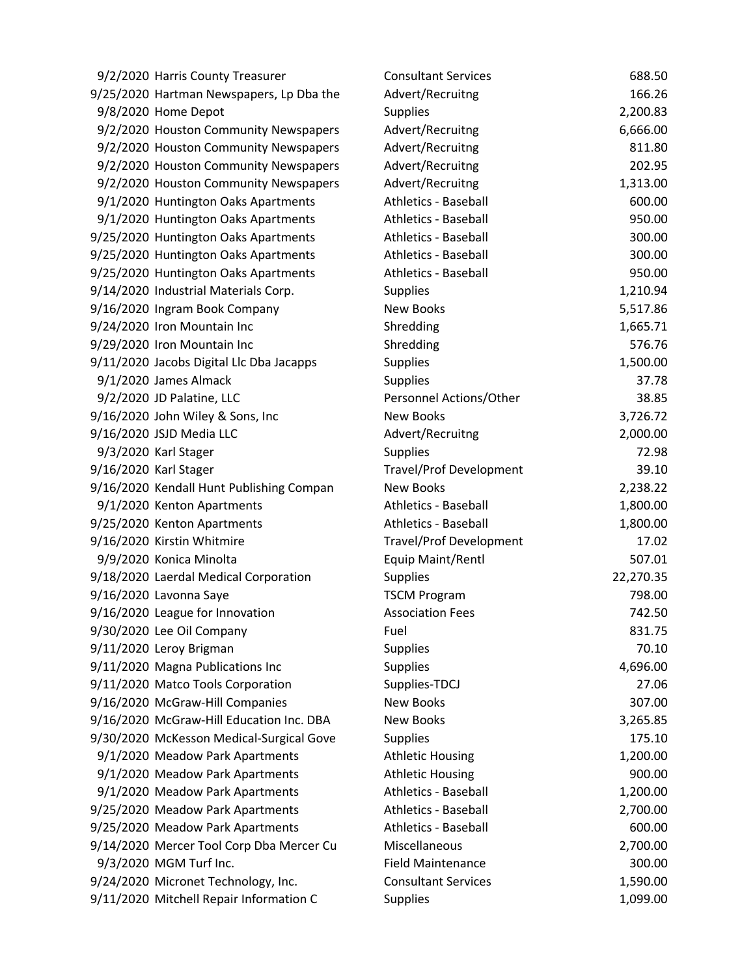| 9/2/2020 Harris County Treasurer         | <b>Consultant Services</b>     | 688.50    |
|------------------------------------------|--------------------------------|-----------|
| 9/25/2020 Hartman Newspapers, Lp Dba the | Advert/Recruitng               | 166.26    |
| 9/8/2020 Home Depot                      | <b>Supplies</b>                | 2,200.83  |
| 9/2/2020 Houston Community Newspapers    | Advert/Recruitng               | 6,666.00  |
| 9/2/2020 Houston Community Newspapers    | Advert/Recruitng               | 811.80    |
| 9/2/2020 Houston Community Newspapers    | Advert/Recruitng               | 202.95    |
| 9/2/2020 Houston Community Newspapers    | Advert/Recruitng               | 1,313.00  |
| 9/1/2020 Huntington Oaks Apartments      | Athletics - Baseball           | 600.00    |
| 9/1/2020 Huntington Oaks Apartments      | <b>Athletics - Baseball</b>    | 950.00    |
| 9/25/2020 Huntington Oaks Apartments     | <b>Athletics - Baseball</b>    | 300.00    |
| 9/25/2020 Huntington Oaks Apartments     | <b>Athletics - Baseball</b>    | 300.00    |
| 9/25/2020 Huntington Oaks Apartments     | Athletics - Baseball           | 950.00    |
| 9/14/2020 Industrial Materials Corp.     | <b>Supplies</b>                | 1,210.94  |
| 9/16/2020 Ingram Book Company            | <b>New Books</b>               | 5,517.86  |
| 9/24/2020 Iron Mountain Inc              | Shredding                      | 1,665.71  |
| 9/29/2020 Iron Mountain Inc              | Shredding                      | 576.76    |
| 9/11/2020 Jacobs Digital Llc Dba Jacapps | <b>Supplies</b>                | 1,500.00  |
| 9/1/2020 James Almack                    | <b>Supplies</b>                | 37.78     |
| 9/2/2020 JD Palatine, LLC                | Personnel Actions/Other        | 38.85     |
| 9/16/2020 John Wiley & Sons, Inc         | <b>New Books</b>               | 3,726.72  |
| 9/16/2020 JSJD Media LLC                 | Advert/Recruitng               | 2,000.00  |
| 9/3/2020 Karl Stager                     | <b>Supplies</b>                | 72.98     |
| 9/16/2020 Karl Stager                    | <b>Travel/Prof Development</b> | 39.10     |
| 9/16/2020 Kendall Hunt Publishing Compan | <b>New Books</b>               | 2,238.22  |
| 9/1/2020 Kenton Apartments               | <b>Athletics - Baseball</b>    | 1,800.00  |
| 9/25/2020 Kenton Apartments              | <b>Athletics - Baseball</b>    | 1,800.00  |
| 9/16/2020 Kirstin Whitmire               | <b>Travel/Prof Development</b> | 17.02     |
| 9/9/2020 Konica Minolta                  | Equip Maint/Rentl              | 507.01    |
| 9/18/2020 Laerdal Medical Corporation    | <b>Supplies</b>                | 22,270.35 |
| 9/16/2020 Lavonna Saye                   | <b>TSCM Program</b>            | 798.00    |
| 9/16/2020 League for Innovation          | <b>Association Fees</b>        | 742.50    |
| 9/30/2020 Lee Oil Company                | Fuel                           | 831.75    |
| 9/11/2020 Leroy Brigman                  | Supplies                       | 70.10     |
| 9/11/2020 Magna Publications Inc         | <b>Supplies</b>                | 4,696.00  |
| 9/11/2020 Matco Tools Corporation        | Supplies-TDCJ                  | 27.06     |
| 9/16/2020 McGraw-Hill Companies          | <b>New Books</b>               | 307.00    |
| 9/16/2020 McGraw-Hill Education Inc. DBA | <b>New Books</b>               | 3,265.85  |
| 9/30/2020 McKesson Medical-Surgical Gove | <b>Supplies</b>                | 175.10    |
| 9/1/2020 Meadow Park Apartments          | <b>Athletic Housing</b>        | 1,200.00  |
| 9/1/2020 Meadow Park Apartments          | <b>Athletic Housing</b>        | 900.00    |
| 9/1/2020 Meadow Park Apartments          | <b>Athletics - Baseball</b>    | 1,200.00  |
| 9/25/2020 Meadow Park Apartments         | <b>Athletics - Baseball</b>    | 2,700.00  |
| 9/25/2020 Meadow Park Apartments         | <b>Athletics - Baseball</b>    | 600.00    |
| 9/14/2020 Mercer Tool Corp Dba Mercer Cu | Miscellaneous                  | 2,700.00  |
| 9/3/2020 MGM Turf Inc.                   | <b>Field Maintenance</b>       | 300.00    |
| 9/24/2020 Micronet Technology, Inc.      | <b>Consultant Services</b>     | 1,590.00  |
| 9/11/2020 Mitchell Repair Information C  | <b>Supplies</b>                | 1,099.00  |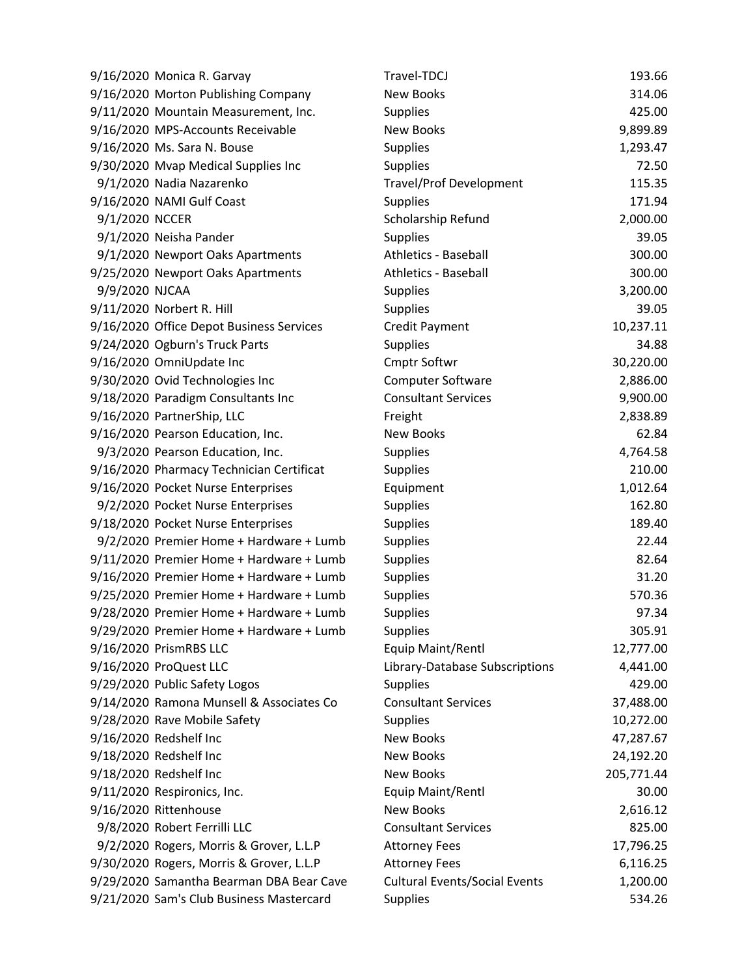|                | 9/16/2020 Monica R. Garvay               | Travel-TDCJ                          | 193.66     |
|----------------|------------------------------------------|--------------------------------------|------------|
|                | 9/16/2020 Morton Publishing Company      | New Books                            | 314.06     |
|                | 9/11/2020 Mountain Measurement, Inc.     | Supplies                             | 425.00     |
|                | 9/16/2020 MPS-Accounts Receivable        | <b>New Books</b>                     | 9,899.89   |
|                | 9/16/2020 Ms. Sara N. Bouse              | <b>Supplies</b>                      | 1,293.47   |
|                | 9/30/2020 Mvap Medical Supplies Inc      | <b>Supplies</b>                      | 72.50      |
|                | 9/1/2020 Nadia Nazarenko                 | <b>Travel/Prof Development</b>       | 115.35     |
|                | 9/16/2020 NAMI Gulf Coast                | <b>Supplies</b>                      | 171.94     |
| 9/1/2020 NCCER |                                          | Scholarship Refund                   | 2,000.00   |
|                | 9/1/2020 Neisha Pander                   | <b>Supplies</b>                      | 39.05      |
|                | 9/1/2020 Newport Oaks Apartments         | <b>Athletics - Baseball</b>          | 300.00     |
|                | 9/25/2020 Newport Oaks Apartments        | Athletics - Baseball                 | 300.00     |
| 9/9/2020 NJCAA |                                          | <b>Supplies</b>                      | 3,200.00   |
|                | 9/11/2020 Norbert R. Hill                | <b>Supplies</b>                      | 39.05      |
|                | 9/16/2020 Office Depot Business Services | <b>Credit Payment</b>                | 10,237.11  |
|                | 9/24/2020 Ogburn's Truck Parts           | <b>Supplies</b>                      | 34.88      |
|                | 9/16/2020 OmniUpdate Inc                 | <b>Cmptr Softwr</b>                  | 30,220.00  |
|                | 9/30/2020 Ovid Technologies Inc          | Computer Software                    | 2,886.00   |
|                | 9/18/2020 Paradigm Consultants Inc       | <b>Consultant Services</b>           | 9,900.00   |
|                | 9/16/2020 PartnerShip, LLC               | Freight                              | 2,838.89   |
|                | 9/16/2020 Pearson Education, Inc.        | <b>New Books</b>                     | 62.84      |
|                | 9/3/2020 Pearson Education, Inc.         | <b>Supplies</b>                      | 4,764.58   |
|                | 9/16/2020 Pharmacy Technician Certificat | <b>Supplies</b>                      | 210.00     |
|                | 9/16/2020 Pocket Nurse Enterprises       | Equipment                            | 1,012.64   |
|                | 9/2/2020 Pocket Nurse Enterprises        | <b>Supplies</b>                      | 162.80     |
|                | 9/18/2020 Pocket Nurse Enterprises       | <b>Supplies</b>                      | 189.40     |
|                | 9/2/2020 Premier Home + Hardware + Lumb  | <b>Supplies</b>                      | 22.44      |
|                | 9/11/2020 Premier Home + Hardware + Lumb | <b>Supplies</b>                      | 82.64      |
|                | 9/16/2020 Premier Home + Hardware + Lumb | <b>Supplies</b>                      | 31.20      |
|                | 9/25/2020 Premier Home + Hardware + Lumb | <b>Supplies</b>                      | 570.36     |
|                | 9/28/2020 Premier Home + Hardware + Lumb | <b>Supplies</b>                      | 97.34      |
|                | 9/29/2020 Premier Home + Hardware + Lumb | <b>Supplies</b>                      | 305.91     |
|                | 9/16/2020 PrismRBS LLC                   | Equip Maint/Rentl                    | 12,777.00  |
|                | 9/16/2020 ProQuest LLC                   | Library-Database Subscriptions       | 4,441.00   |
|                | 9/29/2020 Public Safety Logos            | <b>Supplies</b>                      | 429.00     |
|                | 9/14/2020 Ramona Munsell & Associates Co | <b>Consultant Services</b>           | 37,488.00  |
|                | 9/28/2020 Rave Mobile Safety             | <b>Supplies</b>                      | 10,272.00  |
|                | 9/16/2020 Redshelf Inc                   | <b>New Books</b>                     | 47,287.67  |
|                | 9/18/2020 Redshelf Inc                   | <b>New Books</b>                     | 24,192.20  |
|                | 9/18/2020 Redshelf Inc                   | <b>New Books</b>                     | 205,771.44 |
|                | 9/11/2020 Respironics, Inc.              | Equip Maint/Rentl                    | 30.00      |
|                | 9/16/2020 Rittenhouse                    | New Books                            | 2,616.12   |
|                | 9/8/2020 Robert Ferrilli LLC             | <b>Consultant Services</b>           | 825.00     |
|                | 9/2/2020 Rogers, Morris & Grover, L.L.P  | <b>Attorney Fees</b>                 | 17,796.25  |
|                | 9/30/2020 Rogers, Morris & Grover, L.L.P | <b>Attorney Fees</b>                 | 6,116.25   |
|                | 9/29/2020 Samantha Bearman DBA Bear Cave | <b>Cultural Events/Social Events</b> | 1,200.00   |
|                | 9/21/2020 Sam's Club Business Mastercard | <b>Supplies</b>                      | 534.26     |